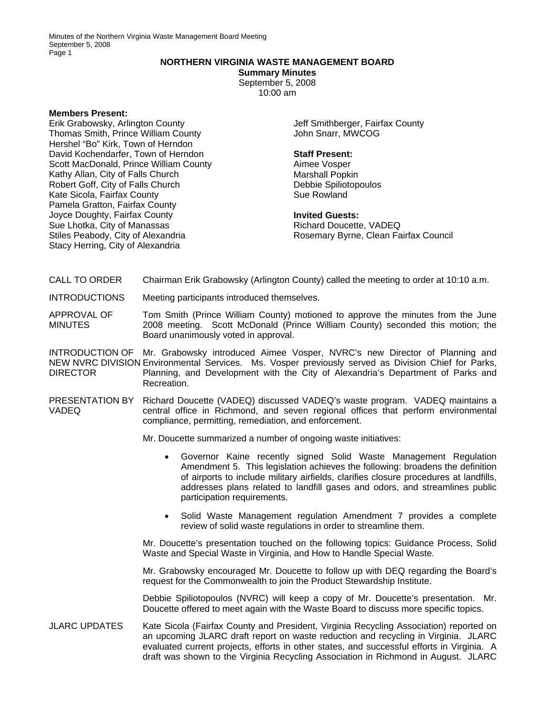Minutes of the Northern Virginia Waste Management Board Meeting September 5, 2008 Page 1

## **NORTHERN VIRGINIA WASTE MANAGEMENT BOARD**

**Summary Minutes**  September 5, 2008

10:00 am

## **Members Present:**

Erik Grabowsky, Arlington County Thomas Smith, Prince William County Hershel "Bo" Kirk, Town of Herndon David Kochendarfer, Town of Herndon Scott MacDonald, Prince William County Kathy Allan, City of Falls Church Robert Goff, City of Falls Church Kate Sicola, Fairfax County Pamela Gratton, Fairfax County Joyce Doughty, Fairfax County Sue Lhotka, City of Manassas Stiles Peabody, City of Alexandria Stacy Herring, City of Alexandria

Jeff Smithberger, Fairfax County John Snarr, MWCOG

## **Staff Present:**

Aimee Vosper Marshall Popkin Debbie Spiliotopoulos Sue Rowland

**Invited Guests:**  Richard Doucette, VADEQ Rosemary Byrne, Clean Fairfax Council

- CALL TO ORDER Chairman Erik Grabowsky (Arlington County) called the meeting to order at 10:10 a.m.
- INTRODUCTIONS Meeting participants introduced themselves.
- APPROVAL OF MINUTES Tom Smith (Prince William County) motioned to approve the minutes from the June 2008 meeting. Scott McDonald (Prince William County) seconded this motion; the Board unanimously voted in approval.

INTRODUCTION OF Mr. Grabowsky introduced Aimee Vosper, NVRC's new Director of Planning and NEW NVRC DIVISION Environmental Services. Ms. Vosper previously served as Division Chief for Parks, DIRECTOR Planning, and Development with the City of Alexandria's Department of Parks and Recreation.

PRESENTATION BY Richard Doucette (VADEQ) discussed VADEQ's waste program. VADEQ maintains a VADEQ central office in Richmond, and seven regional offices that perform environmental compliance, permitting, remediation, and enforcement.

Mr. Doucette summarized a number of ongoing waste initiatives:

- Governor Kaine recently signed Solid Waste Management Regulation Amendment 5. This legislation achieves the following: broadens the definition of airports to include military airfields, clarifies closure procedures at landfills, addresses plans related to landfill gases and odors, and streamlines public participation requirements.
- Solid Waste Management regulation Amendment 7 provides a complete review of solid waste regulations in order to streamline them.

Mr. Doucette's presentation touched on the following topics: Guidance Process, Solid Waste and Special Waste in Virginia, and How to Handle Special Waste.

Mr. Grabowsky encouraged Mr. Doucette to follow up with DEQ regarding the Board's request for the Commonwealth to join the Product Stewardship Institute.

Debbie Spiliotopoulos (NVRC) will keep a copy of Mr. Doucette's presentation. Mr. Doucette offered to meet again with the Waste Board to discuss more specific topics.

JLARC UPDATES Kate Sicola (Fairfax County and President, Virginia Recycling Association) reported on an upcoming JLARC draft report on waste reduction and recycling in Virginia. JLARC evaluated current projects, efforts in other states, and successful efforts in Virginia. A draft was shown to the Virginia Recycling Association in Richmond in August. JLARC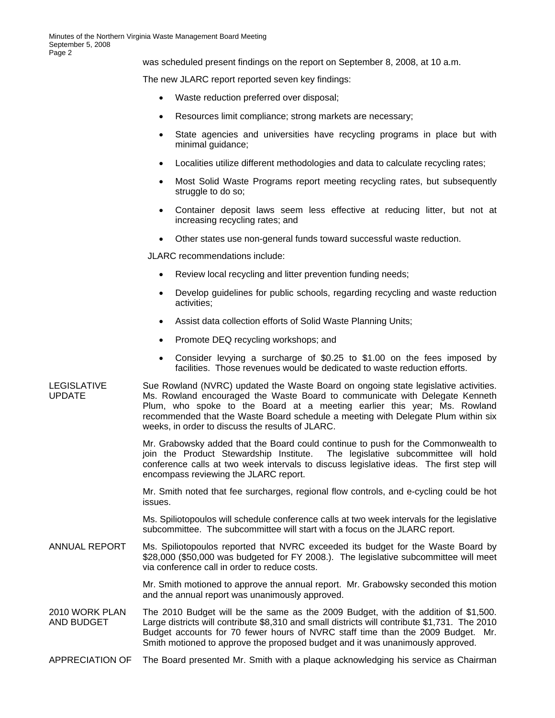was scheduled present findings on the report on September 8, 2008, at 10 a.m.

The new JLARC report reported seven key findings:

- Waste reduction preferred over disposal;
- Resources limit compliance; strong markets are necessary;
- State agencies and universities have recycling programs in place but with minimal guidance;
- Localities utilize different methodologies and data to calculate recycling rates;
- Most Solid Waste Programs report meeting recycling rates, but subsequently struggle to do so;
- Container deposit laws seem less effective at reducing litter, but not at increasing recycling rates; and
- Other states use non-general funds toward successful waste reduction.

JLARC recommendations include:

- Review local recycling and litter prevention funding needs;
- Develop guidelines for public schools, regarding recycling and waste reduction activities;
- Assist data collection efforts of Solid Waste Planning Units;
- Promote DEQ recycling workshops; and
- Consider levying a surcharge of \$0.25 to \$1.00 on the fees imposed by facilities. Those revenues would be dedicated to waste reduction efforts.
- LEGISLATIVE UPDATE Sue Rowland (NVRC) updated the Waste Board on ongoing state legislative activities. Ms. Rowland encouraged the Waste Board to communicate with Delegate Kenneth Plum, who spoke to the Board at a meeting earlier this year; Ms. Rowland recommended that the Waste Board schedule a meeting with Delegate Plum within six weeks, in order to discuss the results of JLARC.

Mr. Grabowsky added that the Board could continue to push for the Commonwealth to join the Product Stewardship Institute. The legislative subcommittee will hold conference calls at two week intervals to discuss legislative ideas. The first step will encompass reviewing the JLARC report.

Mr. Smith noted that fee surcharges, regional flow controls, and e-cycling could be hot issues.

Ms. Spiliotopoulos will schedule conference calls at two week intervals for the legislative subcommittee. The subcommittee will start with a focus on the JLARC report.

ANNUAL REPORT Ms. Spiliotopoulos reported that NVRC exceeded its budget for the Waste Board by \$28,000 (\$50,000 was budgeted for FY 2008.). The legislative subcommittee will meet via conference call in order to reduce costs.

> Mr. Smith motioned to approve the annual report. Mr. Grabowsky seconded this motion and the annual report was unanimously approved.

- 2010 WORK PLAN AND BUDGET The 2010 Budget will be the same as the 2009 Budget, with the addition of \$1,500. Large districts will contribute \$8,310 and small districts will contribute \$1,731. The 2010 Budget accounts for 70 fewer hours of NVRC staff time than the 2009 Budget. Mr. Smith motioned to approve the proposed budget and it was unanimously approved.
- APPRECIATION OF The Board presented Mr. Smith with a plaque acknowledging his service as Chairman